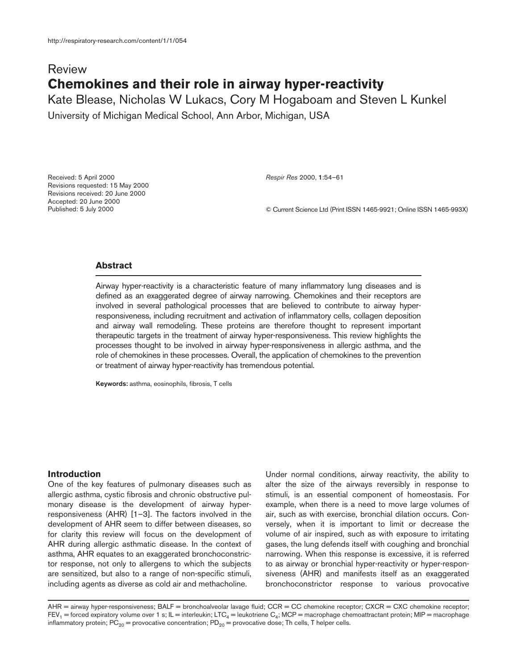# Review **Chemokines and their role in airway hyper-reactivity**

Kate Blease, Nicholas W Lukacs, Cory M Hogaboam and Steven L Kunkel

University of Michigan Medical School, Ann Arbor, Michigan, USA

Received: 5 April 2000 Revisions requested: 15 May 2000 Revisions received: 20 June 2000 Accepted: 20 June 2000 Published: 5 July 2000

*Respir Res* 2000, **1**:54–61

© Current Science Ltd (Print ISSN 1465-9921; Online ISSN 1465-993X)

# **Abstract**

Airway hyper-reactivity is a characteristic feature of many inflammatory lung diseases and is defined as an exaggerated degree of airway narrowing. Chemokines and their receptors are involved in several pathological processes that are believed to contribute to airway hyperresponsiveness, including recruitment and activation of inflammatory cells, collagen deposition and airway wall remodeling. These proteins are therefore thought to represent important therapeutic targets in the treatment of airway hyper-responsiveness. This review highlights the processes thought to be involved in airway hyper-responsiveness in allergic asthma, and the role of chemokines in these processes. Overall, the application of chemokines to the prevention or treatment of airway hyper-reactivity has tremendous potential.

**Keywords:** asthma, eosinophils, fibrosis, T cells

## **Introduction**

One of the key features of pulmonary diseases such as allergic asthma, cystic fibrosis and chronic obstructive pulmonary disease is the development of airway hyperresponsiveness (AHR) [1–3]. The factors involved in the development of AHR seem to differ between diseases, so for clarity this review will focus on the development of AHR during allergic asthmatic disease. In the context of asthma, AHR equates to an exaggerated bronchoconstrictor response, not only to allergens to which the subjects are sensitized, but also to a range of non-specific stimuli, including agents as diverse as cold air and methacholine.

Under normal conditions, airway reactivity, the ability to alter the size of the airways reversibly in response to stimuli, is an essential component of homeostasis. For example, when there is a need to move large volumes of air, such as with exercise, bronchial dilation occurs. Conversely, when it is important to limit or decrease the volume of air inspired, such as with exposure to irritating gases, the lung defends itself with coughing and bronchial narrowing. When this response is excessive, it is referred to as airway or bronchial hyper-reactivity or hyper-responsiveness (AHR) and manifests itself as an exaggerated bronchoconstrictor response to various provocative

AHR = airway hyper-responsiveness; BALF = bronchoalveolar lavage fluid; CCR = CC chemokine receptor; CXCR = CXC chemokine receptor;  $FEV_1$  = forced expiratory volume over 1 s; IL = interleukin; LTC<sub>4</sub> = leukotriene C<sub>4</sub>; MCP = macrophage chemoattractant protein; MIP = macrophage inflammatory protein; PC<sub>20</sub> = provocative concentration; PD<sub>20</sub> = provocative dose; Th cells, T helper cells.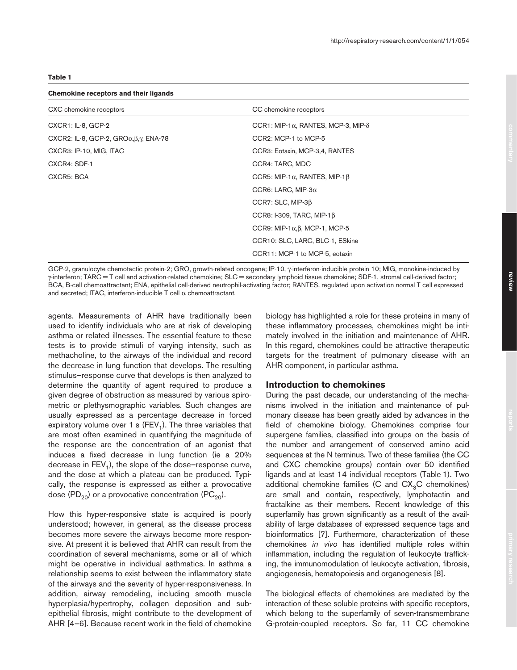## **Table 1**

#### **Chemokine receptors and their ligands**

| CXC chemokine receptors                                 | CC chemokine receptors                              |
|---------------------------------------------------------|-----------------------------------------------------|
| CXCR1: IL-8, GCP-2                                      | CCR1: MIP-1 $\alpha$ , RANTES, MCP-3, MIP- $\delta$ |
| CXCR2: IL-8, GCP-2, $GRO\alpha, \beta, \gamma$ , ENA-78 | CCR2: MCP-1 to MCP-5                                |
| CXCR3: IP-10, MIG, ITAC                                 | CCR3: Eotaxin, MCP-3,4, RANTES                      |
| CXCR4: SDF-1                                            | CCR4: TARC, MDC                                     |
| CXCR5: BCA                                              | CCR5: MIP-1 $\alpha$ , RANTES, MIP-1 $\beta$        |
|                                                         | CCR6: LARC, MIP-3 $\alpha$                          |
|                                                         | $CCR7: SLC, MIP-3\beta$                             |
|                                                         | CCR8: I-309, TARC, MIP-1 $\beta$                    |
|                                                         | CCR9: MIP-1 $\alpha$ , $\beta$ , MCP-1, MCP-5       |
|                                                         | CCR10: SLC, LARC, BLC-1, ESkine                     |
|                                                         | CCR11: MCP-1 to MCP-5, eotaxin                      |

GCP-2, granulocyte chemotactic protein-2; GRO, growth-related oncogene; IP-10, γ-interferon-inducible protein 10; MIG, monokine-induced by γ-interferon; TARC = T cell and activation-related chemokine; SLC = secondary lymphoid tissue chemokine; SDF-1, stromal cell-derived factor; BCA, B-cell chemoattractant; ENA, epithelial cell-derived neutrophil-activating factor; RANTES, regulated upon activation normal T cell expressed and secreted; ITAC, interferon-inducible  $T$  cell  $\alpha$  chemoattractant.

agents. Measurements of AHR have traditionally been used to identify individuals who are at risk of developing asthma or related illnesses. The essential feature to these tests is to provide stimuli of varying intensity, such as methacholine, to the airways of the individual and record the decrease in lung function that develops. The resulting stimulus–response curve that develops is then analyzed to determine the quantity of agent required to produce a given degree of obstruction as measured by various spirometric or plethysmographic variables. Such changes are usually expressed as a percentage decrease in forced expiratory volume over 1 s (FEV<sub>1</sub>). The three variables that are most often examined in quantifying the magnitude of the response are the concentration of an agonist that induces a fixed decrease in lung function (ie a 20% decrease in  $FEV<sub>1</sub>$ , the slope of the dose–response curve, and the dose at which a plateau can be produced. Typically, the response is expressed as either a provocative dose (PD<sub>20</sub>) or a provocative concentration (PC<sub>20</sub>).

How this hyper-responsive state is acquired is poorly understood; however, in general, as the disease process becomes more severe the airways become more responsive. At present it is believed that AHR can result from the coordination of several mechanisms, some or all of which might be operative in individual asthmatics. In asthma a relationship seems to exist between the inflammatory state of the airways and the severity of hyper-responsiveness. In addition, airway remodeling, including smooth muscle hyperplasia/hypertrophy, collagen deposition and subepithelial fibrosis, might contribute to the development of AHR [4–6]. Because recent work in the field of chemokine biology has highlighted a role for these proteins in many of these inflammatory processes, chemokines might be intimately involved in the initiation and maintenance of AHR. In this regard, chemokines could be attractive therapeutic targets for the treatment of pulmonary disease with an AHR component, in particular asthma.

#### **Introduction to chemokines**

During the past decade, our understanding of the mechanisms involved in the initiation and maintenance of pulmonary disease has been greatly aided by advances in the field of chemokine biology. Chemokines comprise four supergene families, classified into groups on the basis of the number and arrangement of conserved amino acid sequences at the N terminus. Two of these families (the CC and CXC chemokine groups) contain over 50 identified ligands and at least 14 individual receptors (Table 1). Two additional chemokine families (C and  $CX<sub>3</sub>C$  chemokines) are small and contain, respectively, lymphotactin and fractalkine as their members. Recent knowledge of this superfamily has grown significantly as a result of the availability of large databases of expressed sequence tags and bioinformatics [7]. Furthermore, characterization of these chemokines *in vivo* has identified multiple roles within inflammation, including the regulation of leukocyte trafficking, the immunomodulation of leukocyte activation, fibrosis, angiogenesis, hematopoiesis and organogenesis [8].

The biological effects of chemokines are mediated by the interaction of these soluble proteins with specific receptors, which belong to the superfamily of seven-transmembrane G-protein-coupled receptors. So far, 11 CC chemokine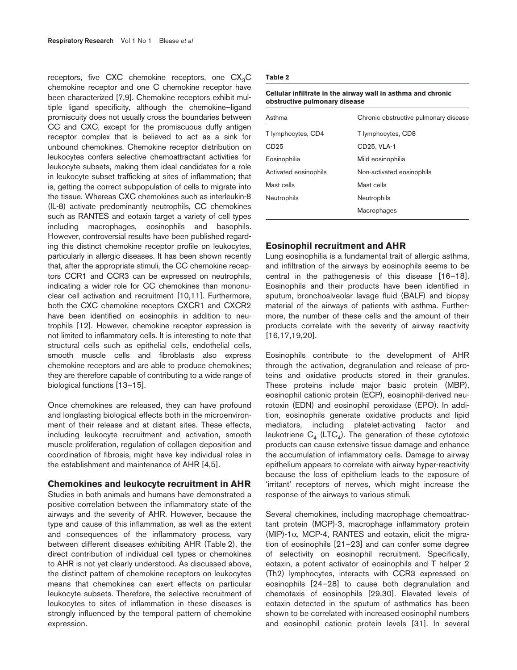receptors, five CXC chemokine receptors, one  $CX<sub>3</sub>C$ chemokine receptor and one C chemokine receptor have been characterized [7,9]. Chemokine receptors exhibit multiple ligand specificity, although the chemokine–ligand promiscuity does not usually cross the boundaries between CC and CXC, except for the promiscuous duffy antigen receptor complex that is believed to act as a sink for unbound chemokines. Chemokine receptor distribution on leukocytes confers selective chemoattractant activities for leukocyte subsets, making them ideal candidates for a role in leukocyte subset trafficking at sites of inflammation; that is, getting the correct subpopulation of cells to migrate into the tissue. Whereas CXC chemokines such as interleukin-8 (IL-8) activate predominantly neutrophils, CC chemokines such as RANTES and eotaxin target a variety of cell types including macrophages, eosinophils and basophils. However, controversial results have been published regarding this distinct chemokine receptor profile on leukocytes, particularly in allergic diseases. It has been shown recently that, after the appropriate stimuli, the CC chemokine receptors CCR1 and CCR3 can be expressed on neutrophils, indicating a wider role for CC chemokines than mononuclear cell activation and recruitment [10,11]. Furthermore, both the CXC chemokine receptors CXCR1 and CXCR2 have been identified on eosinophils in addition to neutrophils [12]. However, chemokine receptor expression is not limited to inflammatory cells. It is interesting to note that structural cells such as epithelial cells, endothelial cells, smooth muscle cells and fibroblasts also express chemokine receptors and are able to produce chemokines; they are therefore capable of contributing to a wide range of biological functions [13–15].

Once chemokines are released, they can have profound and longlasting biological effects both in the microenvironment of their release and at distant sites. These effects, including leukocyte recruitment and activation, smooth muscle proliferation, regulation of collagen deposition and coordination of fibrosis, might have key individual roles in the establishment and maintenance of AHR [4,5].

#### **Chemokines and leukocyte recruitment in AHR**

Studies in both animals and humans have demonstrated a positive correlation between the inflammatory state of the airways and the severity of AHR. However, because the type and cause of this inflammation, as well as the extent and consequences of the inflammatory process, vary between different diseases exhibiting AHR (Table 2), the direct contribution of individual cell types or chemokines to AHR is not yet clearly understood. As discussed above, the distinct pattern of chemokine receptors on leukocytes means that chemokines can exert effects on particular leukocyte subsets. Therefore, the selective recruitment of leukocytes to sites of inflammation in these diseases is strongly influenced by the temporal pattern of chemokine expression.

#### **Table 2**

| obstructive pulmonary disease |                                       |
|-------------------------------|---------------------------------------|
| Asthma                        | Chronic obstructive pulmonary disease |
| T lymphocytes, CD4            | T lymphocytes, CD8                    |
| CD25                          | CD25, VLA-1                           |
| Eosinophilia                  | Mild eosinophilia                     |
| Activated eosinophils         | Non-activated eosinophils             |
| Mast cells                    | Mast cells                            |
| Neutrophils                   | Neutrophils                           |
|                               | Macrophages                           |

# **Cellular infiltrate in the airway wall in asthma and chronic**

### **Eosinophil recruitment and AHR**

Lung eosinophilia is a fundamental trait of allergic asthma, and infiltration of the airways by eosinophils seems to be central in the pathogenesis of this disease [16–18]. Eosinophils and their products have been identified in sputum, bronchoalveolar lavage fluid (BALF) and biopsy material of the airways of patients with asthma. Furthermore, the number of these cells and the amount of their products correlate with the severity of airway reactivity [16,17,19,20].

Eosinophils contribute to the development of AHR through the activation, degranulation and release of proteins and oxidative products stored in their granules. These proteins include major basic protein (MBP), eosinophil cationic protein (ECP), eosinophil-derived neurotoxin (EDN) and eosinophil peroxidase (EPO). In addition, eosinophils generate oxidative products and lipid mediators, including platelet-activating factor and leukotriene  $C_4$  (LTC<sub>4</sub>). The generation of these cytotoxic products can cause extensive tissue damage and enhance the accumulation of inflammatory cells. Damage to airway epithelium appears to correlate with airway hyper-reactivity because the loss of epithelium leads to the exposure of 'irritant' receptors of nerves, which might increase the response of the airways to various stimuli.

Several chemokines, including macrophage chemoattractant protein (MCP)-3, macrophage inflammatory protein (MIP)-1α, MCP-4, RANTES and eotaxin, elicit the migration of eosinophils [21–23] and can confer some degree of selectivity on eosinophil recruitment. Specifically, eotaxin, a potent activator of eosinophils and T helper 2 (Th2) lymphocytes, interacts with CCR3 expressed on eosinophils [24–28] to cause both degranulation and chemotaxis of eosinophils [29,30]. Elevated levels of eotaxin detected in the sputum of asthmatics has been shown to be correlated with increased eosinophil numbers and eosinophil cationic protein levels [31]. In several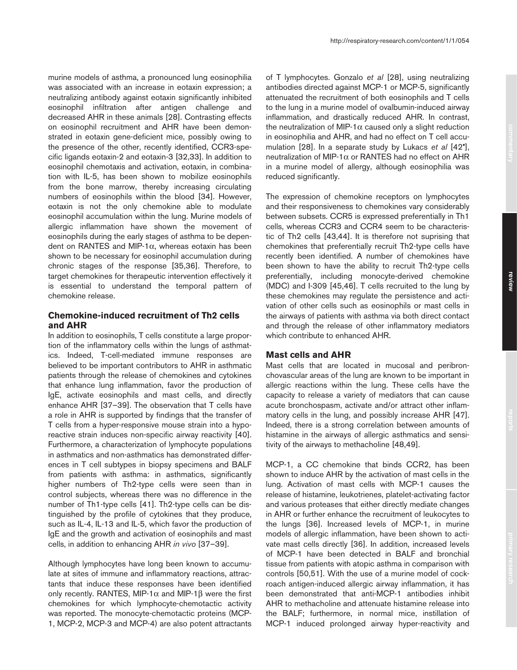murine models of asthma, a pronounced lung eosinophilia was associated with an increase in eotaxin expression; a neutralizing antibody against eotaxin significantly inhibited eosinophil infiltration after antigen challenge and decreased AHR in these animals [28]. Contrasting effects on eosinophil recruitment and AHR have been demonstrated in eotaxin gene-deficient mice, possibly owing to the presence of the other, recently identified, CCR3-specific ligands eotaxin-2 and eotaxin-3 [32,33]. In addition to eosinophil chemotaxis and activation, eotaxin, in combination with IL-5, has been shown to mobilize eosinophils from the bone marrow, thereby increasing circulating numbers of eosinophils within the blood [34]. However, eotaxin is not the only chemokine able to modulate eosinophil accumulation within the lung. Murine models of allergic inflammation have shown the movement of eosinophils during the early stages of asthma to be dependent on RANTES and MIP-1 $α$ , whereas eotaxin has been shown to be necessary for eosinophil accumulation during chronic stages of the response [35,36]. Therefore, to target chemokines for therapeutic intervention effectively it is essential to understand the temporal pattern of chemokine release.

# **Chemokine-induced recruitment of Th2 cells and AHR**

In addition to eosinophils, T cells constitute a large proportion of the inflammatory cells within the lungs of asthmatics. Indeed, T-cell-mediated immune responses are believed to be important contributors to AHR in asthmatic patients through the release of chemokines and cytokines that enhance lung inflammation, favor the production of IgE, activate eosinophils and mast cells, and directly enhance AHR [37–39]. The observation that T cells have a role in AHR is supported by findings that the transfer of T cells from a hyper-responsive mouse strain into a hyporeactive strain induces non-specific airway reactivity [40]. Furthermore, a characterization of lymphocyte populations in asthmatics and non-asthmatics has demonstrated differences in T cell subtypes in biopsy specimens and BALF from patients with asthma: in asthmatics, significantly higher numbers of Th2-type cells were seen than in control subjects, whereas there was no difference in the number of Th1-type cells [41]. Th2-type cells can be distinguished by the profile of cytokines that they produce, such as IL-4, IL-13 and IL-5, which favor the production of IgE and the growth and activation of eosinophils and mast cells, in addition to enhancing AHR *in vivo* [37–39].

Although lymphocytes have long been known to accumulate at sites of immune and inflammatory reactions, attractants that induce these responses have been identified only recently. RANTES, MIP-1 $\alpha$  and MIP-1 $\beta$  were the first chemokines for which lymphocyte-chemotactic activity was reported. The monocyte-chemotactic proteins (MCP-1, MCP-2, MCP-3 and MCP-4) are also potent attractants

of T lymphocytes. Gonzalo *et al* [28], using neutralizing antibodies directed against MCP-1 or MCP-5, significantly attenuated the recruitment of both eosinophils and T cells to the lung in a murine model of ovalbumin-induced airway inflammation, and drastically reduced AHR. In contrast, the neutralization of MIP-1 $\alpha$  caused only a slight reduction in eosinophilia and AHR, and had no effect on T cell accumulation [28]. In a separate study by Lukacs *et al* [42•], neutralization of MIP-1α or RANTES had no effect on AHR in a murine model of allergy, although eosinophilia was reduced significantly.

The expression of chemokine receptors on lymphocytes and their responsiveness to chemokines vary considerably between subsets. CCR5 is expressed preferentially in Th1 cells, whereas CCR3 and CCR4 seem to be characteristic of Th2 cells [43,44]. It is therefore not suprising that chemokines that preferentially recruit Th2-type cells have recently been identified. A number of chemokines have been shown to have the ability to recruit Th2-type cells preferentially, including monocyte-derived chemokine (MDC) and I-309 [45,46]. T cells recruited to the lung by these chemokines may regulate the persistence and activation of other cells such as eosinophils or mast cells in the airways of patients with asthma via both direct contact and through the release of other inflammatory mediators which contribute to enhanced AHR.

## **Mast cells and AHR**

Mast cells that are located in mucosal and peribronchovascular areas of the lung are known to be important in allergic reactions within the lung. These cells have the capacity to release a variety of mediators that can cause acute bronchospasm, activate and/or attract other inflammatory cells in the lung, and possibly increase AHR [47]. Indeed, there is a strong correlation between amounts of histamine in the airways of allergic asthmatics and sensitivity of the airways to methacholine [48,49].

MCP-1, a CC chemokine that binds CCR2, has been shown to induce AHR by the activation of mast cells in the lung. Activation of mast cells with MCP-1 causes the release of histamine, leukotrienes, platelet-activating factor and various proteases that either directly mediate changes in AHR or further enhance the recruitment of leukocytes to the lungs [36]. Increased levels of MCP-1, in murine models of allergic inflammation, have been shown to activate mast cells directly [36]. In addition, increased levels of MCP-1 have been detected in BALF and bronchial tissue from patients with atopic asthma in comparison with controls [50,51]. With the use of a murine model of cockroach antigen-induced allergic airway inflammation, it has been demonstrated that anti-MCP-1 antibodies inhibit AHR to methacholine and attenuate histamine release into the BALF; furthermore, in normal mice, instillation of MCP-1 induced prolonged airway hyper-reactivity and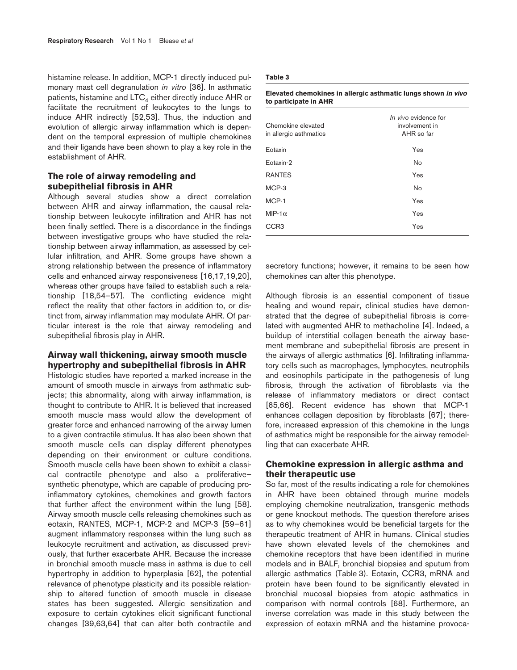histamine release. In addition, MCP-1 directly induced pulmonary mast cell degranulation *in vitro* [36]. In asthmatic patients, histamine and  $LTC<sub>4</sub>$  either directly induce AHR or facilitate the recruitment of leukocytes to the lungs to induce AHR indirectly [52,53]. Thus, the induction and evolution of allergic airway inflammation which is dependent on the temporal expression of multiple chemokines and their ligands have been shown to play a key role in the establishment of AHR.

## **The role of airway remodeling and subepithelial fibrosis in AHR**

Although several studies show a direct correlation between AHR and airway inflammation, the causal relationship between leukocyte infiltration and AHR has not been finally settled. There is a discordance in the findings between investigative groups who have studied the relationship between airway inflammation, as assessed by cellular infiltration, and AHR. Some groups have shown a strong relationship between the presence of inflammatory cells and enhanced airway responsiveness [16,17,19,20], whereas other groups have failed to establish such a relationship [18,54–57]. The conflicting evidence might reflect the reality that other factors in addition to, or distinct from, airway inflammation may modulate AHR. Of particular interest is the role that airway remodeling and subepithelial fibrosis play in AHR.

## **Airway wall thickening, airway smooth muscle hypertrophy and subepithelial fibrosis in AHR**

Histologic studies have reported a marked increase in the amount of smooth muscle in airways from asthmatic subjects; this abnormality, along with airway inflammation, is thought to contribute to AHR. It is believed that increased smooth muscle mass would allow the development of greater force and enhanced narrowing of the airway lumen to a given contractile stimulus. It has also been shown that smooth muscle cells can display different phenotypes depending on their environment or culture conditions. Smooth muscle cells have been shown to exhibit a classical contractile phenotype and also a proliferative– synthetic phenotype, which are capable of producing proinflammatory cytokines, chemokines and growth factors that further affect the environment within the lung [58]. Airway smooth muscle cells releasing chemokines such as eotaxin, RANTES, MCP-1, MCP-2 and MCP-3 [59–61] augment inflammatory responses within the lung such as leukocyte recruitment and activation, as discussed previously, that further exacerbate AHR. Because the increase in bronchial smooth muscle mass in asthma is due to cell hypertrophy in addition to hyperplasia [62], the potential relevance of phenotype plasticity and its possible relationship to altered function of smooth muscle in disease states has been suggested. Allergic sensitization and exposure to certain cytokines elicit significant functional changes [39,63,64] that can alter both contractile and

#### **Table 3**

#### **Elevated chemokines in allergic asthmatic lungs shown in vivo to participate in AHR**

| Chemokine elevated<br>in allergic asthmatics | In vivo evidence for<br>involvement in<br>AHR so far |
|----------------------------------------------|------------------------------------------------------|
| Eotaxin                                      | Yes                                                  |
| Eotaxin-2                                    | <b>No</b>                                            |
| <b>RANTES</b>                                | Yes                                                  |
| MCP-3                                        | <b>No</b>                                            |
| MCP-1                                        | Yes                                                  |
| MIP-1 $\alpha$                               | Yes                                                  |
| CCR3                                         | Yes                                                  |

secretory functions; however, it remains to be seen how chemokines can alter this phenotype.

Although fibrosis is an essential component of tissue healing and wound repair, clinical studies have demonstrated that the degree of subepithelial fibrosis is correlated with augmented AHR to methacholine [4]. Indeed, a buildup of interstitial collagen beneath the airway basement membrane and subepithelial fibrosis are present in the airways of allergic asthmatics [6]. Infiltrating inflammatory cells such as macrophages, lymphocytes, neutrophils and eosinophils participate in the pathogenesis of lung fibrosis, through the activation of fibroblasts via the release of inflammatory mediators or direct contact [65,66]. Recent evidence has shown that MCP-1 enhances collagen deposition by fibroblasts [67]; therefore, increased expression of this chemokine in the lungs of asthmatics might be responsible for the airway remodelling that can exacerbate AHR.

## **Chemokine expression in allergic asthma and their therapeutic use**

So far, most of the results indicating a role for chemokines in AHR have been obtained through murine models employing chemokine neutralization, transgenic methods or gene knockout methods. The question therefore arises as to why chemokines would be beneficial targets for the therapeutic treatment of AHR in humans. Clinical studies have shown elevated levels of the chemokines and chemokine receptors that have been identified in murine models and in BALF, bronchial biopsies and sputum from allergic asthmatics (Table 3). Eotaxin, CCR3, mRNA and protein have been found to be significantly elevated in bronchial mucosal biopsies from atopic asthmatics in comparison with normal controls [68]. Furthermore, an inverse correlation was made in this study between the expression of eotaxin mRNA and the histamine provoca-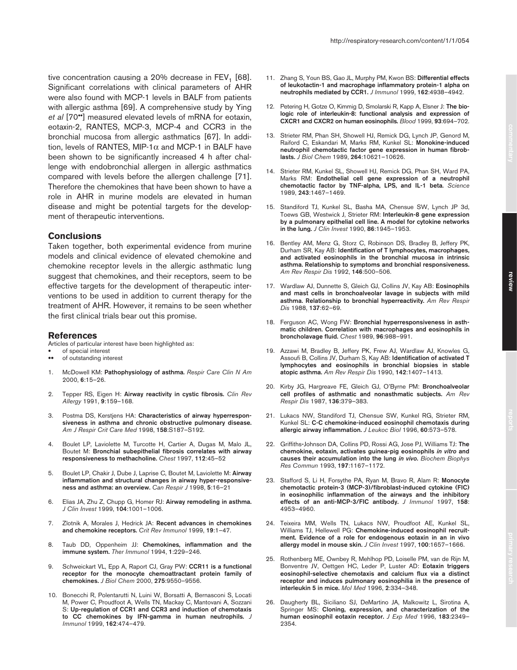tive concentration causing a  $20\%$  decrease in FEV<sub>1</sub> [68]. Significant correlations with clinical parameters of AHR were also found with MCP-1 levels in BALF from patients with allergic asthma [69]. A comprehensive study by Ying *et al* [70••] measured elevated levels of mRNA for eotaxin, eotaxin-2, RANTES, MCP-3, MCP-4 and CCR3 in the bronchial mucosa from allergic asthmatics [67]. In addition, levels of RANTES, MIP-1 $\alpha$  and MCP-1 in BALF have been shown to be significantly increased 4 h after challenge with endobronchial allergen in allergic asthmatics compared with levels before the allergen challenge [71]. Therefore the chemokines that have been shown to have a role in AHR in murine models are elevated in human disease and might be potential targets for the development of therapeutic interventions.

### **Conclusions**

Taken together, both experimental evidence from murine models and clinical evidence of elevated chemokine and chemokine receptor levels in the allergic asthmatic lung suggest that chemokines, and their receptors, seem to be effective targets for the development of therapeutic interventions to be used in addition to current therapy for the treatment of AHR. However, it remains to be seen whether the first clinical trials bear out this promise.

#### **References**

- Articles of particular interest have been highlighted as:
- of special interest<br>• of outstanding inte
- of outstanding interest
- 1. McDowell KM: **Pathophysiology of asthma.** *Respir Care Clin N Am* 2000, **6**:15–26.
- 2. Tepper RS, Eigen H: **Airway reactivity in cystic fibrosis.** *Clin Rev Allergy* 1991, **9**:159–168.
- 3. Postma DS, Kerstjens HA: **Characteristics of airway hyperresponsiveness in asthma and chronic obstructive pulmonary disease.** *Am J Respir Crit Care Med* 1998, **158**:S187–S192.
- 4. Boulet LP, Laviolette M, Turcotte H, Cartier A, Dugas M, Malo JL, Boutet M: **Bronchial subepithelial fibrosis correlates with airway responsiveness to methacholine.** *Chest* 1997, **112**:45–52
- 5. Boulet LP, Chakir J, Dube J, Laprise C, Boutet M, Laviolette M: **Airway inflammation and structural changes in airway hyper-responsiveness and asthma: an overview.** *Can Respir J* 1998, **5**:16–21
- 6. Elias JA, Zhu Z, Chupp G, Homer RJ: **Airway remodeling in asthma.** *J Clin Invest* 1999, **104**:1001–1006.
- 7. Zlotnik A, Morales J, Hedrick JA: **Recent advances in chemokines and chemokine receptors.** *Crit Rev Immunol* 1999, **19**:1–47.
- 8. Taub DD, Oppenheim JJ: **Chemokines, inflammation and the immune system.** *Ther Immunol* 1994, **1**:229–246.
- 9. Schweickart VL, Epp A, Raport CJ, Gray PW: **CCR11 is a functional receptor for the monocyte chemoattractant protein family of chemokines.** *J Biol Chem* 2000, **275**:9550–9556.
- 10. Bonecchi R, Polentarutti N, Luini W, Borsatti A, Bernasconi S, Locati M, Power C, Proudfoot A, Wells TN, Mackay C, Mantovani A, Sozzani S: **Up-regulation of CCR1 and CCR3 and induction of chemotaxis to CC chemokines by IFN-gamma in human neutrophils.** *J Immunol* 1999, **162**:474–479.
- 
- 11. Zhang S, Youn BS, Gao JL, Murphy PM, Kwon BS: **Differential effects of leukotactin-1 and macrophage inflammatory protein-1 alpha on neutrophils mediated by CCR1.** *J Immunol* 1999, **162**:4938–4942.
- 12. Petering H, Gotze O, Kimmig D, Smolarski R, Kapp A, Elsner J: **The biologic role of interleukin-8: functional analysis and expression of CXCR1 and CXCR2 on human eosinophils.** *Blood* 1999, **93**:694–702.
- 13. Strieter RM, Phan SH, Showell HJ, Remick DG, Lynch JP, Genord M, Raiford C, Eskandari M, Marks RM, Kunkel SL: **Monokine-induced neutrophil chemotactic factor gene expression in human fibroblasts.** *J Biol Chem* 1989, **264**:10621–10626.
- 14. Strieter RM, Kunkel SL, Showell HJ, Remick DG, Phan SH, Ward PA, Marks RM: **Endothelial cell gene expression of a neutrophil chemotactic factor by TNF-alpha, LPS, and IL-1 beta.** *Science* 1989, **243**:1467–1469.
- 15. Standiford TJ, Kunkel SL, Basha MA, Chensue SW, Lynch JP 3d, Toews GB, Westwick J, Strieter RM: **Interleukin-8 gene expression by a pulmonary epithelial cell line. A model for cytokine networks in the lung.** *J Clin Invest* 1990, **86**:1945–1953.
- 16. Bentley AM, Menz G, Storz C, Robinson DS, Bradley B, Jeffery PK, Durham SR, Kay AB: **Identification of T lymphocytes, macrophages, and activated eosinophils in the bronchial mucosa in intrinsic asthma. Relationship to symptoms and bronchial responsiveness.** *Am Rev Respir Dis* 1992, **146**:500–506.
- 17. Wardlaw AJ, Dunnette S, Gleich GJ, Collins JV, Kay AB: **Eosinophils and mast cells in bronchoalveolar lavage in subjects with mild asthma. Relationship to bronchial hyperreactivity.** *Am Rev Respir Dis* 1988, **137**:62–69.
- 18. Ferguson AC, Wong FW: **Bronchial hyperresponsiveness in asthmatic children. Correlation with macrophages and eosinophils in broncholavage fluid.** *Chest* 1989, **96**:988–991.
- 19. Azzawi M, Bradley B, Jeffery PK, Frew AJ, Wardlaw AJ, Knowles G, Assoufi B, Collins JV, Durham S, Kay AB: **Identification of activated T lymphocytes and eosinophils in bronchial biopsies in stable atopic asthma.** *Am Rev Respir Dis* 1990, **142**:1407–1413.
- 20. Kirby JG, Hargreave FE, Gleich GJ, O'Byrne PM: **Bronchoalveolar cell profiles of asthmatic and nonasthmatic subjects.** *Am Rev Respir Dis* 1987, **136**:379–383.
- 21. Lukacs NW, Standiford TJ, Chensue SW, Kunkel RG, Strieter RM, Kunkel SL: **C-C chemokine-induced eosinophil chemotaxis during allergic airway inflammation.** *J Leukoc Biol* 1996, **60**:573–578.
- 22. Griffiths**-**Johnson DA, Collins PD, Rossi AG, Jose PJ, Williams TJ: **The chemokine, eotaxin, activates guinea-pig eosinophils** *in vitro* **and causes their accumulation into the lung** *in vivo***.** *Biochem Biophys Res Commun* 1993, **197**:1167–1172.
- 23. Stafford S, Li H, Forsythe PA, Ryan M, Bravo R, Alam R: **Monocyte chemotactic protein-3 (MCP-3)/fibroblast-induced cytokine (FIC) in eosinophilic inflammation of the airways and the inhibitory effects of an anti-MCP-3/FIC antibody.** *J Immunol* 1997, **158**: 4953–4960.
- 24. Teixeira MM, Wells TN, Lukacs NW, Proudfoot AE, Kunkel SL, Williams TJ, Hellewell PG: **Chemokine-induced eosinophil recruitment. Evidence of a role for endogenous eotaxin in an in vivo allergy model in mouse skin.** *J Clin Invest* 1997, **100**:1657–1666.
- 25. Rothenberg ME, Ownbey R, Mehlhop PD, Loiselle PM, van de Rijn M, Bonventre JV, Oettgen HC, Leder P, Luster AD: **Eotaxin triggers eosinophil-selective chemotaxis and calcium flux via a distinct receptor and induces pulmonary eosinophilia in the presence of interleukin 5 in mice.** *Mol Med* 1996, **2**:334–348.
- 26. Daugherty BL, Siciliano SJ, DeMartino JA, Malkowitz L, Sirotina A, Springer MS: **Cloning, expression, and characterization of the human eosinophil eotaxin receptor.** *J Exp Med* 1996, **183**:2349– 2354.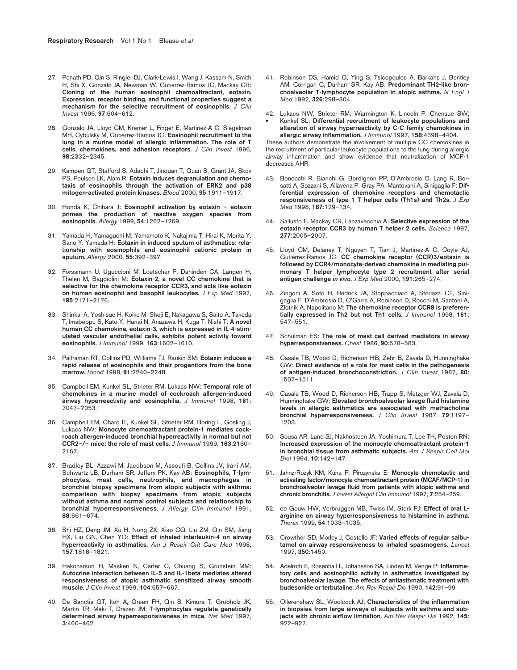- 27. Ponath PD, Qin S, Ringler DJ, Clark-Lewis I, Wang J, Kassam N, Smith H, Shi X, Gonzalo JA, Newman W, Gutierrez-Ramos JC, Mackay CR: **Cloning of the human eosinophil chemoattractant, eotaxin. Expression, receptor binding, and functional properties suggest a mechanism for the selective recruitment of eosinophils.** *J Clin Invest* 1996, **97**:604–612.
- 28. Gonzalo JA, Lloyd CM, Kremer L, Finger E, Martinez-A C, Siegelman MH, Cybulsky M, Gutierrez-Ramos JC: **Eosinophil recruitment to the lung in a murine model of allergic inflammation. The role of T cells, chemokines, and adhesion receptors.** *J Clin Invest* 1996, **98**:2332–2345.
- 29. Kampen GT, Stafford S, Adachi T, Jinquan T, Quan S, Grant JA, Skov PS, Poulsen LK, Alam R: **Eotaxin induces degranulation and chemotaxis of eosinophils through the activation of ERK2 and p38 mitogen-activated protein kinases.** *Blood* 2000, **95**:1911–1917.
- 30. Honda K, Chihara J: **Eosinophil activation by eotaxin eotaxin primes the production of reactive oxygen species from eosinophils.** *Allergy* 1999, **54**:1262–1269.
- 31. Yamada H, Yamaguchi M, Yamamoto K, Nakajima T, Hirai K, Morita Y, Sano Y, Yamada H: **Eotaxin in induced sputum of asthmatics: relationship with eosinophils and eosinophil cationic protein in sputum.** *Allergy* 2000, **55**:392–397.
- 32. Forssmann U, Uguccioni M, Loetscher P, Dahinden CA, Langen H, Thelen M, Baggiolini M: **Eotaxin-2, a novel CC chemokine that is selective for the chemokine receptor CCR3, and acts like eotaxin on human eosinophil and basophil leukocytes.** *J Exp Med* 1997, **185**:2171–2176.
- 33. Shinkai A, Yoshisue H, Koike M, Shoji E, Nakagawa S, Saito A, Takeda T, Imabeppu S, Kato Y, Hanai N, Anazawa H, Kuga T, Nishi T: **A novel human CC chemokine, eotaxin-3, which is expressed in IL-4-stimulated vascular endothelial cells, exhibits potent activity toward eosinophils.** *J Immunol* 1999, **163**:1602–1610.
- 34. Palframan RT, Collins PD, Williams TJ, Rankin SM: **Eotaxin induces a rapid release of eosinophils and their progenitors from the bone marrow.** *Blood* 1998, **91**:2240–2248.
- 35. Campbell EM, Kunkel SL, Strieter RM, Lukacs NW: **Temporal role of chemokines in a murine model of cockroach allergen-induced airway hyperreactivity and eosinophilia.** *J Immunol* 1998, **161**: 7047–7053.
- 36. Campbell EM, Charo IF, Kunkel SL, Strieter RM, Boring L, Gosling J, Lukacs NW: **Monocyte chemoattractant protein-1 mediates cockroach allergen-induced bronchial hyperreactivity in normal but not CCR2–/– mice: the role of mast cells.** *J Immunol* 1999, **163**:2160– 2167.
- 37. Bradley BL, Azzawi M, Jacobson M, Assoufi B, Collins JV, Irani AM, Schwartz LB, Durham SR, Jeffery PK, Kay AB: **Eosinophils, T-lymphocytes, mast cells, neutrophils, and macrophages in bronchial biopsy specimens from atopic subjects with asthma: comparison with biopsy specimens from atopic subjects without asthma and normal control subjects and relationship to bronchial hyperresponsiveness.** *J Allergy Clin Immunol* 1991, **88**:661–674.
- 38. Shi HZ, Deng JM, Xu H, Nong ZX, Xiao CQ, Liu ZM, Qin SM, Jiang HX, Liu GN, Chen YQ: **Effect of inhaled interleukin-4 on airway hyperreactivity in asthmatics.** *Am J Respir Crit Care Med* 1998, **157**:1818–1821.
- 39. Hakonarson H, Maskeri N, Carter C, Chuang S, Grunstein MM: **Autocrine interaction between IL-5 and IL-1beta mediates altered responsiveness of atopic asthmatic sensitized airway smooth muscle.** *J Clin Invest* 1999, **104**:657–667.
- 40. De Sanctis GT, Itoh A, Green FH, Qin S, Kimura T, Grobholz JK, Martin TR, Maki T, Drazen JM: **T-lymphocytes regulate genetically determined airway hyperresponsiveness in mice.** *Nat Med* 1997, **3**:460–462.
- 41. Robinson DS, Hamid Q, Ying S, Tsicopoulos A, Barkans J, Bentley AM, Corrigan C, Durham SR, Kay AB: **Predominant TH2-like bronchoalveolar T-lymphocyte population in atopic asthma.** *N Engl J Med* 1992, **326**:298–304.
- 42. Lukacs NW, Strieter RM, Warmington K, Lincoln P, Chensue SW, • Kunkel SL: **Differential recruitment of leukocyte populations and alteration of airway hyperreactivity by C-C family chemokines in allergic airway inflammation.** *J Immunol* 1997, **158**:4398–4404.

These authors demonstrate the involvement of multiple CC chemokines in the recruitment of particular leukocyte populations to the lung during allergic airway inflammation and show evidence that neutralization of MCP-1 decreases AHR.

- 43. Bonecchi R, Bianchi G, Bordignon PP, D'Ambrosio D, Lang R, Borsatti A, Sozzani S, Allavena P, Gray PA, Mantovani A, Sinigaglia F: **Differential expression of chemokine receptors and chemotactic responsiveness of type 1 T helper cells (Th1s) and Th2s.** *J Exp Med* 1998, **187**:129–134.
- 44. Sallusto F, Mackay CR, Lanzavecchia A: **Selective expression of the eotaxin receptor CCR3 by human T helper 2 cells.** *Science* 1997, **277**:2005–2007.
- 45. Lloyd CM, Delaney T, Nguyen T, Tian J, Martinez-A C, Coyle AJ, Gutierrez-Ramos JC: **CC chemokine receptor (CCR)3/eotaxin is followed by CCR4/monocyte-derived chemokine in mediating pulmonary T helper lymphocyte type 2 recruitment after serial antigen challenge** *in vivo***.** *J Exp Med* 2000, **191**:265–274.
- 46. Zingoni A, Soto H, Hedrick JA, Stoppacciaro A, Storlazzi CT, Sinigaglia F, D'Ambrosio D, O'Garra A, Robinson D, Rocchi M, Santoni A, Zlotnik A, Napolitano M: **The chemokine receptor CCR8 is preferentially expressed in Th2 but not Th1 cells.** *J Immunol* 1998, **161**: 547–551.
- 47. Schulman ES: **The role of mast cell derived mediators in airway hyperresponsiveness.** *Chest* 1986, **90**:578–583.
- 48. Casale TB, Wood D, Richerson HB, Zehr B, Zavala D, Hunninghake GW: **Direct evidence of a role for mast cells in the pathogenesis of antigen-induced bronchoconstriction.** *J Clin Invest* 1987, **80**: 1507–1511.
- 49. Casale TB, Wood D, Richerson HB, Trapp S, Metzger WJ, Zavala D, Hunninghake GW: **Elevated bronchoalveolar lavage fluid histamine levels in allergic asthmatics are associated with methacholine bronchial hyperresponsiveness.** *J Clin Invest* 1987, **79**:1197– 1203.
- 50. Sousa AR, Lane SJ, Nakhosteen JA, Yoshimura T, Lee TH, Poston RN: **Increased expression of the monocyte chemoattractant protein-1 in bronchial tissue from asthmatic subjects.** *Am J Respir Cell Mol Biol* 1994, **10**:142–147.
- 51. Jahnz**-**Rozyk KM, Kuna P, Pirozynska E: **Monocyte chemotactic and activating factor/monocyte chemoattractant protein (MCAF/MCP-1) in bronchoalveolar lavage fluid from patients with atopic asthma and chronic bronchitis.** *J Invest Allergol Clin Immunol* 1997, **7**:254–259.
- 52. de Gouw HW, Verbruggen MB, Twiss IM, Sterk PJ: **Effect of oral Larginine on airway hyperresponsiveness to histamine in asthma.** *Thorax* 1999, **54**:1033–1035.
- 53. Crowther SD, Morley J, Costello JF: **Varied effects of regular salbutamol on airway responsiveness to inhaled spasmogens.** *Lancet* 1997, **350**:1450.
- 54. Adelroth E, Rosenhall L, Johansson SA, Linden M, Venge P: **Inflammatory cells and eosinophilic activity in asthmatics investigated by bronchoalveolar lavage. The effects of antiasthmatic treatment with budesonide or terbutaline.** *Am Rev Respir Dis* 1990, **142**:91–99.
- 55. Ollerenshaw SL, Woolcock AJ: **Characteristics of the inflammation in biopsies from large airways of subjects with asthma and subjects with chronic airflow limitation.** *Am Rev Respir Dis* 1992, **145**: 922–927.